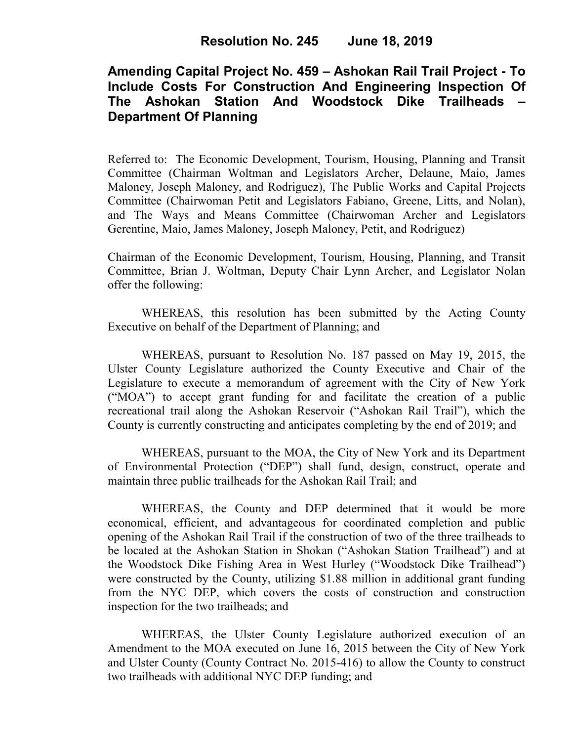# **Amending Capital Project No. 459 – Ashokan Rail Trail Project - To Include Costs For Construction And Engineering Inspection Of The Ashokan Station And Woodstock Dike Trailheads – Department Of Planning**

Referred to: The Economic Development, Tourism, Housing, Planning and Transit Committee (Chairman Woltman and Legislators Archer, Delaune, Maio, James Maloney, Joseph Maloney, and Rodriguez), The Public Works and Capital Projects Committee (Chairwoman Petit and Legislators Fabiano, Greene, Litts, and Nolan), and The Ways and Means Committee (Chairwoman Archer and Legislators Gerentine, Maio, James Maloney, Joseph Maloney, Petit, and Rodriguez)

Chairman of the Economic Development, Tourism, Housing, Planning, and Transit Committee, Brian J. Woltman, Deputy Chair Lynn Archer, and Legislator Nolan offer the following:

WHEREAS, this resolution has been submitted by the Acting County Executive on behalf of the Department of Planning; and

WHEREAS, pursuant to Resolution No. 187 passed on May 19, 2015, the Ulster County Legislature authorized the County Executive and Chair of the Legislature to execute a memorandum of agreement with the City of New York ("MOA") to accept grant funding for and facilitate the creation of a public recreational trail along the Ashokan Reservoir ("Ashokan Rail Trail"), which the County is currently constructing and anticipates completing by the end of 2019; and

WHEREAS, pursuant to the MOA, the City of New York and its Department of Environmental Protection ("DEP") shall fund, design, construct, operate and maintain three public trailheads for the Ashokan Rail Trail; and

WHEREAS, the County and DEP determined that it would be more economical, efficient, and advantageous for coordinated completion and public opening of the Ashokan Rail Trail if the construction of two of the three trailheads to be located at the Ashokan Station in Shokan ("Ashokan Station Trailhead") and at the Woodstock Dike Fishing Area in West Hurley ("Woodstock Dike Trailhead") were constructed by the County, utilizing \$1.88 million in additional grant funding from the NYC DEP, which covers the costs of construction and construction inspection for the two trailheads; and

WHEREAS, the Ulster County Legislature authorized execution of an Amendment to the MOA executed on June 16, 2015 between the City of New York and Ulster County (County Contract No. 2015-416) to allow the County to construct two trailheads with additional NYC DEP funding; and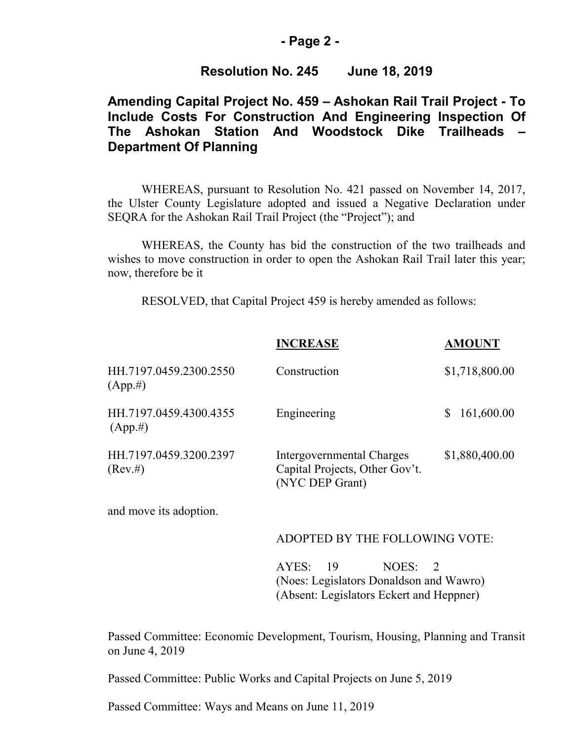### **- Page 2 -**

### **Resolution No. 245 June 18, 2019**

## **Amending Capital Project No. 459 – Ashokan Rail Trail Project - To Include Costs For Construction And Engineering Inspection Of The Ashokan Station And Woodstock Dike Trailheads – Department Of Planning**

WHEREAS, pursuant to Resolution No. 421 passed on November 14, 2017, the Ulster County Legislature adopted and issued a Negative Declaration under SEQRA for the Ashokan Rail Trail Project (the "Project"); and

WHEREAS, the County has bid the construction of the two trailheads and wishes to move construction in order to open the Ashokan Rail Trail later this year; now, therefore be it

RESOLVED, that Capital Project 459 is hereby amended as follows:

|                                       | <b>INCREASE</b>                                                                | <b>AMOUNT</b>  |
|---------------------------------------|--------------------------------------------------------------------------------|----------------|
| HH.7197.0459.2300.2550<br>$(App. \#)$ | Construction                                                                   | \$1,718,800.00 |
| HH.7197.0459.4300.4355<br>$(App. \#)$ | Engineering                                                                    | 161,600.00     |
| HH.7197.0459.3200.2397<br>(Rev. #)    | Intergovernmental Charges<br>Capital Projects, Other Gov't.<br>(NYC DEP Grant) | \$1,880,400.00 |

and move its adoption.

#### ADOPTED BY THE FOLLOWING VOTE:

AYES: 19 NOES: 2 (Noes: Legislators Donaldson and Wawro) (Absent: Legislators Eckert and Heppner)

Passed Committee: Economic Development, Tourism, Housing, Planning and Transit on June 4, 2019

Passed Committee: Public Works and Capital Projects on June 5, 2019

Passed Committee: Ways and Means on June 11, 2019